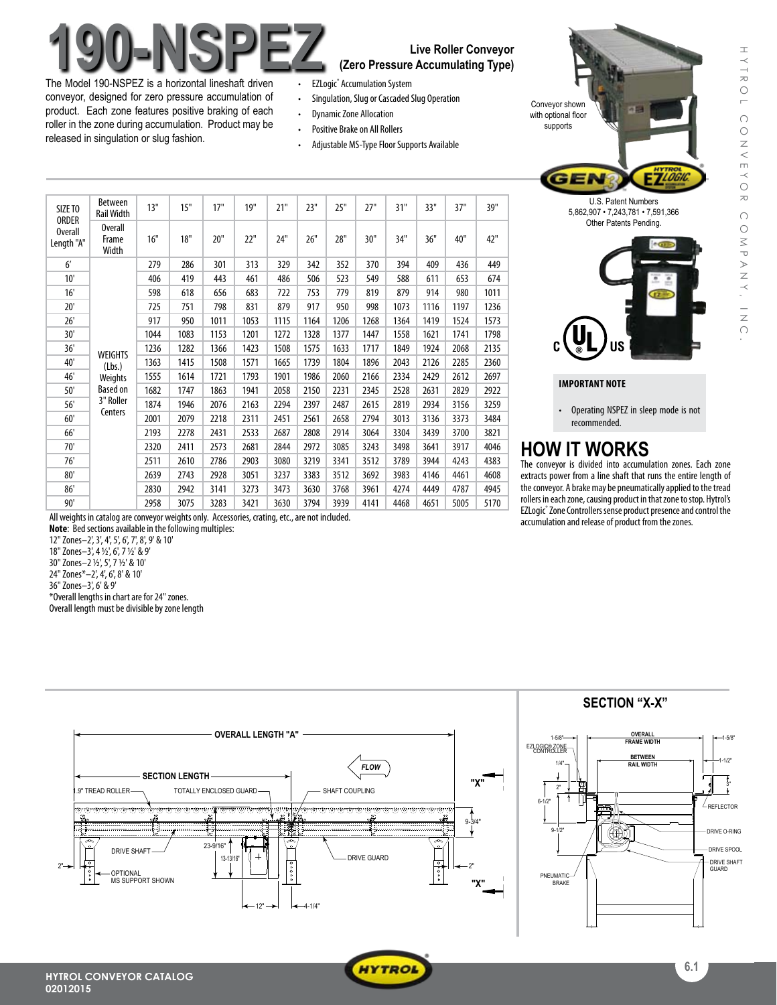# The Media 100 NSPEZ (Zero Pressure Accumulating Type)

The Model 190-NSPEZ is a horizontal lineshaft driven conveyor, designed for zero pressure accumulation of product. Each zone features positive braking of each roller in the zone during accumulation. Product may be released in singulation or slug fashion.

## **(Zero Pressure Accumulating Type)**

- **EZLogic®** Accumulation System
- Singulation, Slug or Cascaded Slug Operation
- • DynamicZone Allocation
- Positive Brake on All Rollers
- Adjustable MS-Type Floor Supports Available

| SIZE TO<br><b>ORDER</b><br><b>Overall</b><br>Length "A" | <b>Between</b><br><b>Rail Width</b>                                     | 13"  | 15"  | 17"  | 19"  | 21"  | 23"  | 25"  | 27"  | 31"  | 33"  | 37"  | 39"  |
|---------------------------------------------------------|-------------------------------------------------------------------------|------|------|------|------|------|------|------|------|------|------|------|------|
|                                                         | <b>Overall</b><br>Frame<br>Width                                        | 16"  | 18"  | 20"  | 22"  | 24"  | 26"  | 28"  | 30"  | 34"  | 36"  | 40"  | 42"  |
| $6^{\prime}$                                            | <b>WEIGHTS</b><br>(Lbs.)<br>Weights<br>Based on<br>3" Roller<br>Centers | 279  | 286  | 301  | 313  | 329  | 342  | 352  | 370  | 394  | 409  | 436  | 449  |
| 10'                                                     |                                                                         | 406  | 419  | 443  | 461  | 486  | 506  | 523  | 549  | 588  | 611  | 653  | 674  |
| 16'                                                     |                                                                         | 598  | 618  | 656  | 683  | 722  | 753  | 779  | 819  | 879  | 914  | 980  | 1011 |
| 20'                                                     |                                                                         | 725  | 751  | 798  | 831  | 879  | 917  | 950  | 998  | 1073 | 1116 | 1197 | 1236 |
| 26'                                                     |                                                                         | 917  | 950  | 1011 | 1053 | 1115 | 1164 | 1206 | 1268 | 1364 | 1419 | 1524 | 1573 |
| 30'                                                     |                                                                         | 1044 | 1083 | 1153 | 1201 | 1272 | 1328 | 1377 | 1447 | 1558 | 1621 | 1741 | 1798 |
| 36'                                                     |                                                                         | 1236 | 1282 | 1366 | 1423 | 1508 | 1575 | 1633 | 1717 | 1849 | 1924 | 2068 | 2135 |
| 40'                                                     |                                                                         | 1363 | 1415 | 1508 | 1571 | 1665 | 1739 | 1804 | 1896 | 2043 | 2126 | 2285 | 2360 |
| 46'                                                     |                                                                         | 1555 | 1614 | 1721 | 1793 | 1901 | 1986 | 2060 | 2166 | 2334 | 2429 | 2612 | 2697 |
| 50'                                                     |                                                                         | 1682 | 1747 | 1863 | 1941 | 2058 | 2150 | 2231 | 2345 | 2528 | 2631 | 2829 | 2922 |
| 56'                                                     |                                                                         | 1874 | 1946 | 2076 | 2163 | 2294 | 2397 | 2487 | 2615 | 2819 | 2934 | 3156 | 3259 |
| 60'                                                     |                                                                         | 2001 | 2079 | 2218 | 2311 | 2451 | 2561 | 2658 | 2794 | 3013 | 3136 | 3373 | 3484 |
| 66'                                                     |                                                                         | 2193 | 2278 | 2431 | 2533 | 2687 | 2808 | 2914 | 3064 | 3304 | 3439 | 3700 | 3821 |
| 70'                                                     |                                                                         | 2320 | 2411 | 2573 | 2681 | 2844 | 2972 | 3085 | 3243 | 3498 | 3641 | 3917 | 4046 |
| 76'                                                     |                                                                         | 2511 | 2610 | 2786 | 2903 | 3080 | 3219 | 3341 | 3512 | 3789 | 3944 | 4243 | 4383 |
| 80'                                                     |                                                                         | 2639 | 2743 | 2928 | 3051 | 3237 | 3383 | 3512 | 3692 | 3983 | 4146 | 4461 | 4608 |
| 86'                                                     |                                                                         | 2830 | 2942 | 3141 | 3273 | 3473 | 3630 | 3768 | 3961 | 4274 | 4449 | 4787 | 4945 |
| 90'                                                     |                                                                         | 2958 | 3075 | 3283 | 3421 | 3630 | 3794 | 3939 | 4141 | 4468 | 4651 | 5005 | 5170 |

All weights in catalog are conveyor weights only. Accessories, crating, etc., are not included. **Note**: Bed sections available in the following multiples:

12"Zones–2',3',4',5',6',7',8',9' & 10' 18"Zones–3',4 1/2',6',7 1/2' & 9' 30"Zones–2 1/2',5',7 1/2' & 10' 24"Zones\*–2',4',6',8' & 10' 36"Zones–3',6' & 9' \*Overall lengths in chartarefor24" zones. Overall length must be divisible by zone length



#### **IMPORTANT NOTE**

Conveyor shown with optional floor supports

> • Operating NSPEZ in sleep mode is not recommended.

## **HOW IT WORKS**

The conveyor is divided into accumulation zones. Each zone extracts power from a line shaft that runs the entire length of the conveyor. A brake may be pneumatically applied to the tread rollers in each zone, causing product in that zone to stop. Hytrol's EZLogic® Zone Controllers sense product presence and control the accumulation and release of product from the zones.